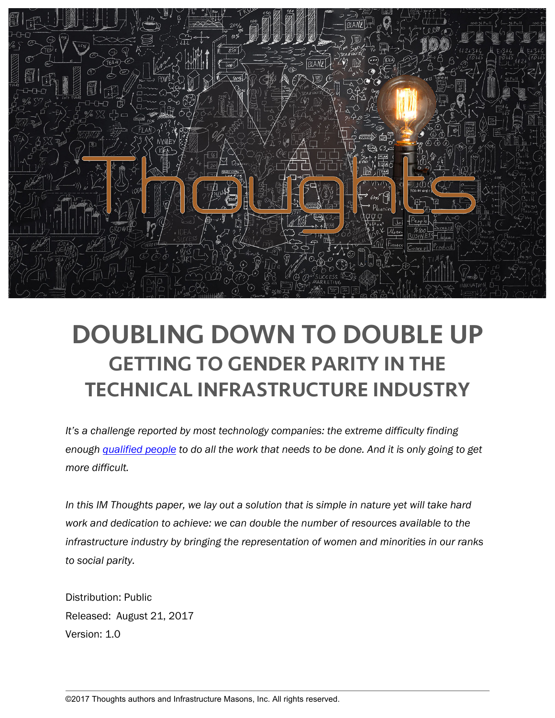

# DOUBLING DOWN TO DOUBLE UP GETTING TO GENDER PARITY IN THE TECHNICAL INFRASTRUCTURE INDUSTRY

*It's a challenge reported by most technology companies: the extreme difficulty finding enough qualified people to do all the work that needs to be done. And it is only going to get more difficult.* 

In this IM Thoughts paper, we lay out a solution that is simple in nature yet will take hard *work and dedication to achieve: we can double the number of resources available to the infrastructure industry by bringing the representation of women and minorities in our ranks to social parity.*

Distribution: Public Released: August 21, 2017 Version: 1.0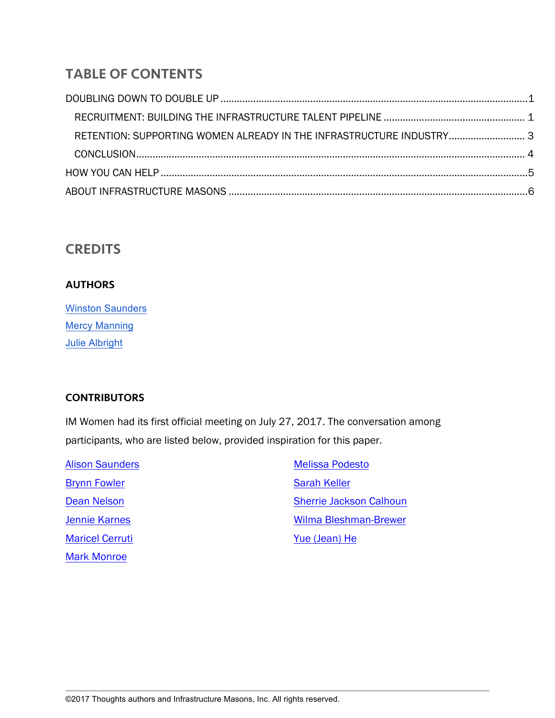# TABLE OF CONTENTS

| RETENTION: SUPPORTING WOMEN ALREADY IN THE INFRASTRUCTURE INDUSTRY 3 |  |
|----------------------------------------------------------------------|--|
|                                                                      |  |
|                                                                      |  |
|                                                                      |  |

# **CREDITS**

#### **AUTHORS**

| <b>Winston Saunders</b> |
|-------------------------|
| <b>Mercy Manning</b>    |
| <b>Julie Albright</b>   |

#### **CONTRIBUTORS**

IM Women had its first official meeting on July 27, 2017. The conversation among participants, who are listed below, provided inspiration for this paper.

Alison Saunders Brynn Fowler Dean Nelson Jennie Karnes Maricel Cerruti Mark Monroe

Melissa Podesto Sarah Keller Sherrie Jackson Calhoun Wilma Bleshman-Brewer Yue (Jean) He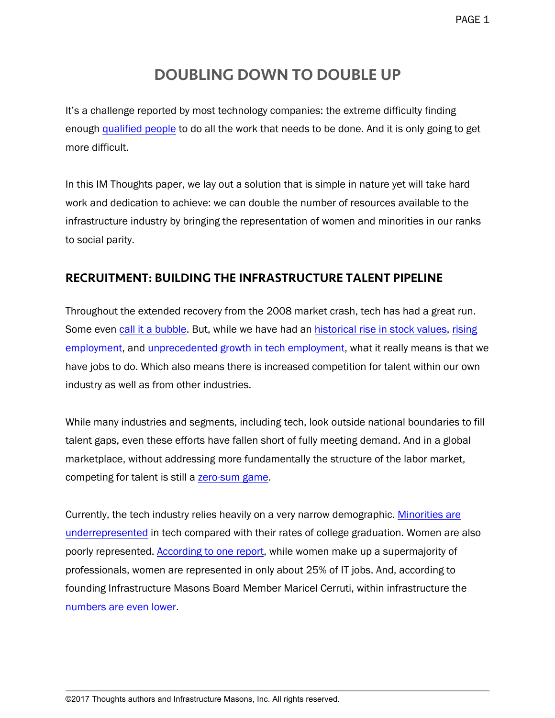# DOUBLING DOWN TO DOUBLE UP

It's a challenge reported by most technology companies: the extreme difficulty finding enough qualified people to do all the work that needs to be done. And it is only going to get more difficult.

In this IM Thoughts paper, we lay out a solution that is simple in nature yet will take hard work and dedication to achieve: we can double the number of resources available to the infrastructure industry by bringing the representation of women and minorities in our ranks to social parity.

## RECRUITMENT: BUILDING THE INFRASTRUCTURE TALENT PIPELINE

Throughout the extended recovery from the 2008 market crash, tech has had a great run. Some even call it a bubble. But, while we have had an historical rise in stock values, rising employment, and unprecedented growth in tech employment, what it really means is that we have jobs to do. Which also means there is increased competition for talent within our own industry as well as from other industries.

While many industries and segments, including tech, look outside national boundaries to fill talent gaps, even these efforts have fallen short of fully meeting demand. And in a global marketplace, without addressing more fundamentally the structure of the labor market, competing for talent is still a zero-sum game.

Currently, the tech industry relies heavily on a very narrow demographic. Minorities are underrepresented in tech compared with their rates of college graduation. Women are also poorly represented. According to one report, while women make up a supermajority of professionals, women are represented in only about 25% of IT jobs. And, according to founding Infrastructure Masons Board Member Maricel Cerruti, within infrastructure the numbers are even lower.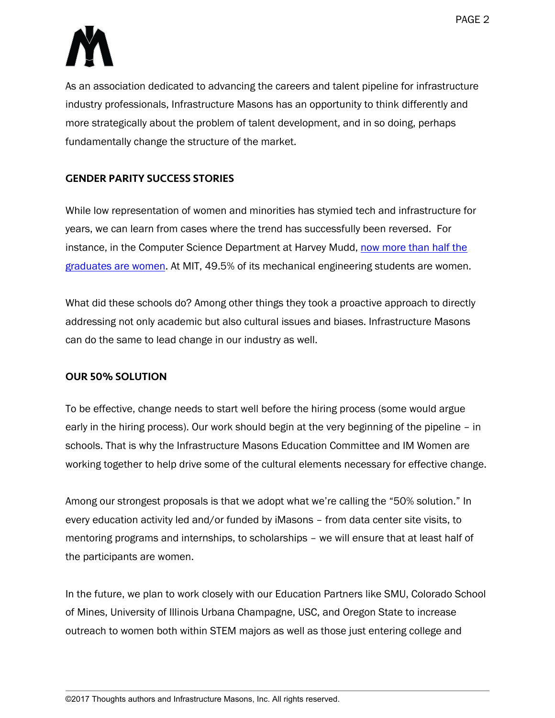

As an association dedicated to advancing the careers and talent pipeline for infrastructure industry professionals, Infrastructure Masons has an opportunity to think differently and more strategically about the problem of talent development, and in so doing, perhaps fundamentally change the structure of the market.

#### GENDER PARITY SUCCESS STORIES

While low representation of women and minorities has stymied tech and infrastructure for years, we can learn from cases where the trend has successfully been reversed. For instance, in the Computer Science Department at Harvey Mudd, now more than half the graduates are women. At MIT, 49.5% of its mechanical engineering students are women.

What did these schools do? Among other things they took a proactive approach to directly addressing not only academic but also cultural issues and biases. Infrastructure Masons can do the same to lead change in our industry as well.

#### OUR 50% SOLUTION

To be effective, change needs to start well before the hiring process (some would argue early in the hiring process). Our work should begin at the very beginning of the pipeline – in schools. That is why the Infrastructure Masons Education Committee and IM Women are working together to help drive some of the cultural elements necessary for effective change.

Among our strongest proposals is that we adopt what we're calling the "50% solution." In every education activity led and/or funded by iMasons – from data center site visits, to mentoring programs and internships, to scholarships – we will ensure that at least half of the participants are women.

In the future, we plan to work closely with our Education Partners like SMU, Colorado School of Mines, University of Illinois Urbana Champagne, USC, and Oregon State to increase outreach to women both within STEM majors as well as those just entering college and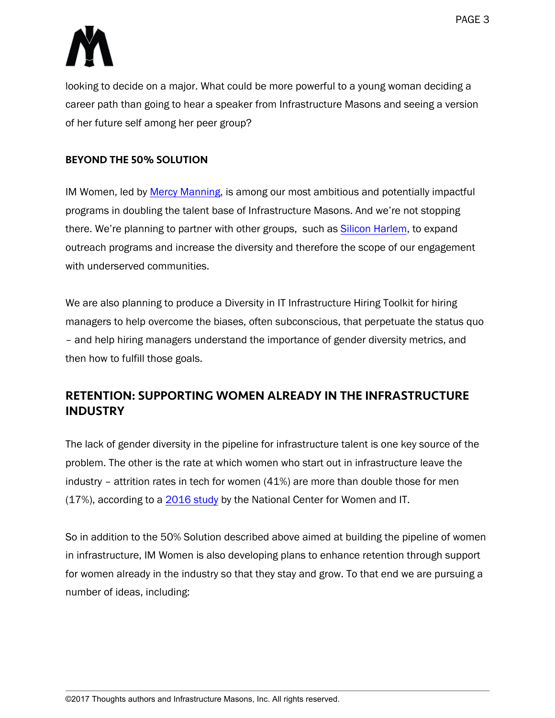

looking to decide on a major. What could be more powerful to a young woman deciding a career path than going to hear a speaker from Infrastructure Masons and seeing a version of her future self among her peer group?

#### BEYOND THE 50% SOLUTION

IM Women, led by Mercy Manning, is among our most ambitious and potentially impactful programs in doubling the talent base of Infrastructure Masons. And we're not stopping there. We're planning to partner with other groups, such as Silicon Harlem, to expand outreach programs and increase the diversity and therefore the scope of our engagement with underserved communities.

We are also planning to produce a Diversity in IT Infrastructure Hiring Toolkit for hiring managers to help overcome the biases, often subconscious, that perpetuate the status quo – and help hiring managers understand the importance of gender diversity metrics, and then how to fulfill those goals.

# RETENTION: SUPPORTING WOMEN ALREADY IN THE INFRASTRUCTURE INDUSTRY

The lack of gender diversity in the pipeline for infrastructure talent is one key source of the problem. The other is the rate at which women who start out in infrastructure leave the industry – attrition rates in tech for women (41%) are more than double those for men (17%), according to a 2016 study by the National Center for Women and IT.

So in addition to the 50% Solution described above aimed at building the pipeline of women in infrastructure, IM Women is also developing plans to enhance retention through support for women already in the industry so that they stay and grow. To that end we are pursuing a number of ideas, including: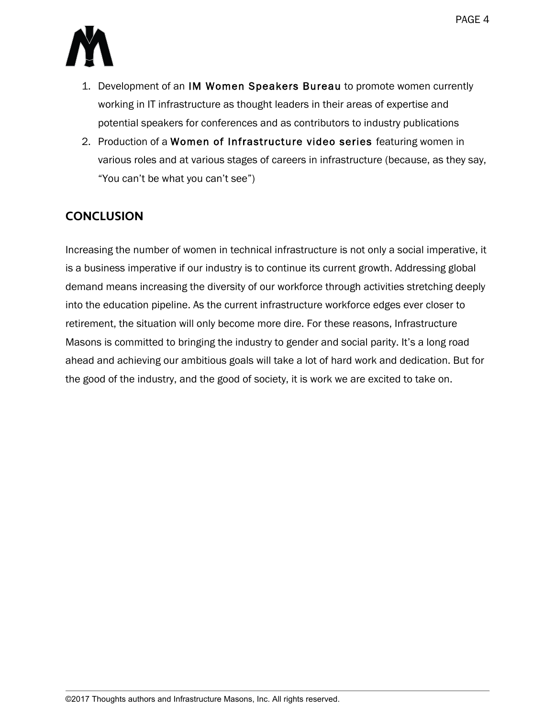

- 1. Development of an IM Women Speakers Bureau to promote women currently working in IT infrastructure as thought leaders in their areas of expertise and potential speakers for conferences and as contributors to industry publications
- 2. Production of a Women of Infrastructure video series featuring women in various roles and at various stages of careers in infrastructure (because, as they say, "You can't be what you can't see")

# **CONCLUSION**

Increasing the number of women in technical infrastructure is not only a social imperative, it is a business imperative if our industry is to continue its current growth. Addressing global demand means increasing the diversity of our workforce through activities stretching deeply into the education pipeline. As the current infrastructure workforce edges ever closer to retirement, the situation will only become more dire. For these reasons, Infrastructure Masons is committed to bringing the industry to gender and social parity. It's a long road ahead and achieving our ambitious goals will take a lot of hard work and dedication. But for the good of the industry, and the good of society, it is work we are excited to take on.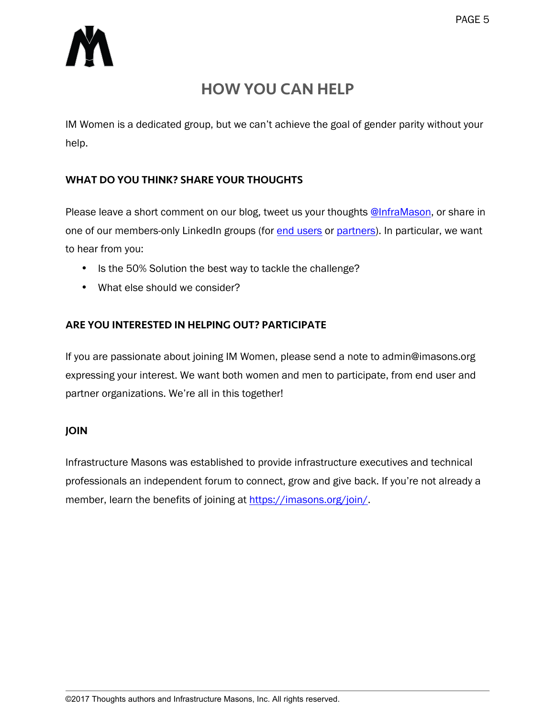

# HOW YOU CAN HELP

IM Women is a dedicated group, but we can't achieve the goal of gender parity without your help.

#### WHAT DO YOU THINK? SHARE YOUR THOUGHTS

Please leave a short comment on our blog, tweet us your thoughts @InfraMason, or share in one of our members-only LinkedIn groups (for end users or partners). In particular, we want to hear from you:

- Is the 50% Solution the best way to tackle the challenge?
- What else should we consider?

#### ARE YOU INTERESTED IN HELPING OUT? PARTICIPATE

If you are passionate about joining IM Women, please send a note to admin@imasons.org expressing your interest. We want both women and men to participate, from end user and partner organizations. We're all in this together!

#### JOIN

Infrastructure Masons was established to provide infrastructure executives and technical professionals an independent forum to connect, grow and give back. If you're not already a member, learn the benefits of joining at https://imasons.org/join/.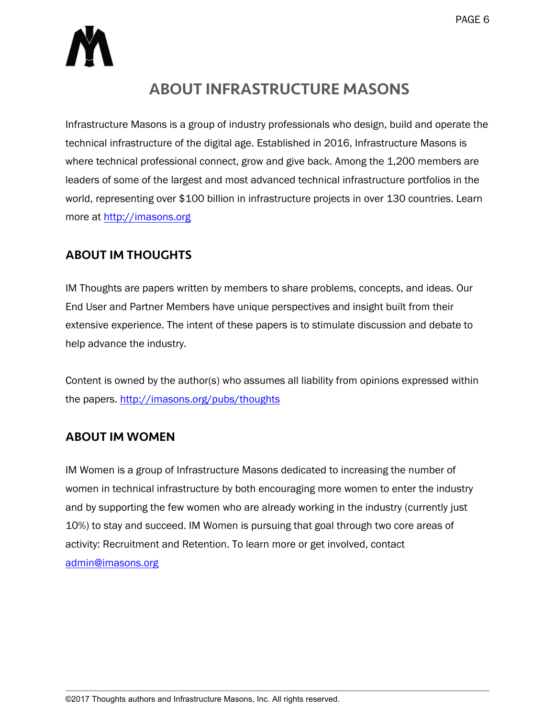

# ABOUT INFRASTRUCTURE MASONS

Infrastructure Masons is a group of industry professionals who design, build and operate the technical infrastructure of the digital age. Established in 2016, Infrastructure Masons is where technical professional connect, grow and give back. Among the 1,200 members are leaders of some of the largest and most advanced technical infrastructure portfolios in the world, representing over \$100 billion in infrastructure projects in over 130 countries. Learn more at http://imasons.org

## ABOUT IM THOUGHTS

IM Thoughts are papers written by members to share problems, concepts, and ideas. Our End User and Partner Members have unique perspectives and insight built from their extensive experience. The intent of these papers is to stimulate discussion and debate to help advance the industry.

Content is owned by the author(s) who assumes all liability from opinions expressed within the papers. http://imasons.org/pubs/thoughts

## ABOUT IM WOMEN

IM Women is a group of Infrastructure Masons dedicated to increasing the number of women in technical infrastructure by both encouraging more women to enter the industry and by supporting the few women who are already working in the industry (currently just 10%) to stay and succeed. IM Women is pursuing that goal through two core areas of activity: Recruitment and Retention. To learn more or get involved, contact admin@imasons.org